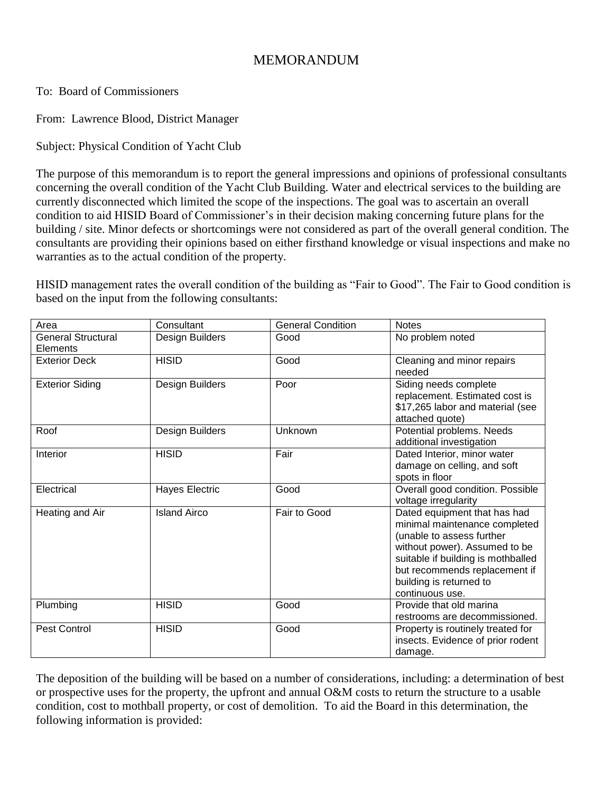## MEMORANDUM

## To: Board of Commissioners

From: Lawrence Blood, District Manager

Subject: Physical Condition of Yacht Club

The purpose of this memorandum is to report the general impressions and opinions of professional consultants concerning the overall condition of the Yacht Club Building. Water and electrical services to the building are currently disconnected which limited the scope of the inspections. The goal was to ascertain an overall condition to aid HISID Board of Commissioner's in their decision making concerning future plans for the building / site. Minor defects or shortcomings were not considered as part of the overall general condition. The consultants are providing their opinions based on either firsthand knowledge or visual inspections and make no warranties as to the actual condition of the property.

HISID management rates the overall condition of the building as "Fair to Good". The Fair to Good condition is based on the input from the following consultants:

| Area                                  | Consultant            | <b>General Condition</b> | <b>Notes</b>                                                                                                                                                                                                                                     |
|---------------------------------------|-----------------------|--------------------------|--------------------------------------------------------------------------------------------------------------------------------------------------------------------------------------------------------------------------------------------------|
| <b>General Structural</b><br>Elements | Design Builders       | Good                     | No problem noted                                                                                                                                                                                                                                 |
| <b>Exterior Deck</b>                  | <b>HISID</b>          | Good                     | Cleaning and minor repairs<br>needed                                                                                                                                                                                                             |
| <b>Exterior Siding</b>                | Design Builders       | Poor                     | Siding needs complete<br>replacement. Estimated cost is<br>\$17,265 labor and material (see<br>attached quote)                                                                                                                                   |
| Roof                                  | Design Builders       | Unknown                  | Potential problems. Needs<br>additional investigation                                                                                                                                                                                            |
| Interior                              | <b>HISID</b>          | Fair                     | Dated Interior, minor water<br>damage on celling, and soft<br>spots in floor                                                                                                                                                                     |
| Electrical                            | <b>Hayes Electric</b> | Good                     | Overall good condition. Possible<br>voltage irregularity                                                                                                                                                                                         |
| Heating and Air                       | <b>Island Airco</b>   | Fair to Good             | Dated equipment that has had<br>minimal maintenance completed<br>(unable to assess further<br>without power). Assumed to be<br>suitable if building is mothballed<br>but recommends replacement if<br>building is returned to<br>continuous use. |
| Plumbing                              | <b>HISID</b>          | Good                     | Provide that old marina<br>restrooms are decommissioned.                                                                                                                                                                                         |
| <b>Pest Control</b>                   | <b>HISID</b>          | Good                     | Property is routinely treated for<br>insects. Evidence of prior rodent<br>damage.                                                                                                                                                                |

The deposition of the building will be based on a number of considerations, including: a determination of best or prospective uses for the property, the upfront and annual O&M costs to return the structure to a usable condition, cost to mothball property, or cost of demolition. To aid the Board in this determination, the following information is provided: